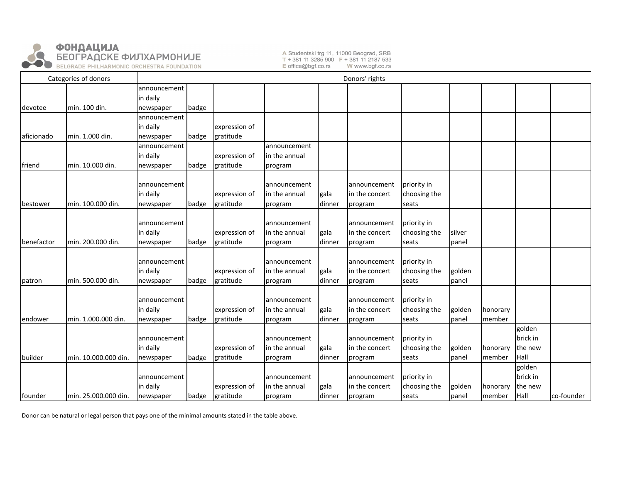

A Studentski trg 11, 11000 Beograd, SRB T + 381 11 3285 900 F + 381 11 2187 533 E office@bgf.co.rs W www.bgf.co.rs

| Categories of donors |                      | Donors' rights |       |               |               |        |                |              |        |          |          |            |
|----------------------|----------------------|----------------|-------|---------------|---------------|--------|----------------|--------------|--------|----------|----------|------------|
|                      |                      | announcement   |       |               |               |        |                |              |        |          |          |            |
|                      |                      | in daily       |       |               |               |        |                |              |        |          |          |            |
| devotee              | min. 100 din.        | newspaper      | badge |               |               |        |                |              |        |          |          |            |
|                      |                      | announcement   |       |               |               |        |                |              |        |          |          |            |
|                      |                      | in daily       |       | expression of |               |        |                |              |        |          |          |            |
| aficionado           | min. 1.000 din.      | newspaper      | badge | gratitude     |               |        |                |              |        |          |          |            |
|                      |                      | announcement   |       |               | announcement  |        |                |              |        |          |          |            |
|                      |                      | in daily       |       | expression of | in the annual |        |                |              |        |          |          |            |
| friend               | min. 10.000 din.     | newspaper      | badge | gratitude     | program       |        |                |              |        |          |          |            |
|                      |                      |                |       |               |               |        |                |              |        |          |          |            |
|                      |                      | announcement   |       |               | announcement  |        | announcement   | priority in  |        |          |          |            |
|                      |                      | in daily       |       | expression of | in the annual | gala   | in the concert | choosing the |        |          |          |            |
| bestower             | min. 100.000 din.    | newspaper      | badge | gratitude     | program       | dinner | program        | seats        |        |          |          |            |
|                      |                      |                |       |               |               |        |                |              |        |          |          |            |
|                      |                      | announcement   |       |               | announcement  |        | announcement   | priority in  |        |          |          |            |
|                      |                      | in daily       |       | expression of | in the annual | gala   | in the concert | choosing the | silver |          |          |            |
| benefactor           | min. 200.000 din.    | newspaper      | badge | gratitude     | program       | dinner | program        | seats        | panel  |          |          |            |
|                      |                      |                |       |               |               |        |                |              |        |          |          |            |
|                      |                      | announcement   |       |               | announcement  |        | announcement   | priority in  |        |          |          |            |
|                      |                      | in daily       |       | expression of | in the annual | gala   | in the concert | choosing the | golden |          |          |            |
| patron               | min. 500.000 din.    | newspaper      | badge | gratitude     | program       | dinner | program        | seats        | panel  |          |          |            |
|                      |                      |                |       |               |               |        |                |              |        |          |          |            |
|                      |                      | announcement   |       |               | announcement  |        | announcement   | priority in  |        |          |          |            |
|                      |                      | in daily       |       | expression of | in the annual | gala   | in the concert | choosing the | golden | honorary |          |            |
| endower              | min. 1.000.000 din.  | newspaper      | badge | gratitude     | program       | dinner | program        | seats        | panel  | member   |          |            |
|                      |                      |                |       |               |               |        |                |              |        |          | golden   |            |
|                      |                      | announcement   |       |               | announcement  |        | announcement   | priority in  |        |          | brick in |            |
|                      |                      | in daily       |       | expression of | in the annual | gala   | in the concert | choosing the | golden | honorary | the new  |            |
| builder              | min. 10.000.000 din. | newspaper      | badge | gratitude     | program       | dinner | program        | seats        | panel  | member   | Hall     |            |
|                      |                      |                |       |               |               |        |                |              |        |          | golden   |            |
|                      |                      | announcement   |       |               | announcement  |        | announcement   | priority in  |        |          | brick in |            |
|                      |                      | in daily       |       | expression of | in the annual | gala   | in the concert | choosing the | golden | honorary | the new  |            |
| founder              | min. 25.000.000 din. | newspaper      | badge | gratitude     | program       | dinner | program        | seats        | panel  | member   | Hall     | co-founder |

Donor can be natural or legal person that pays one of the minimal amounts stated in the table above.